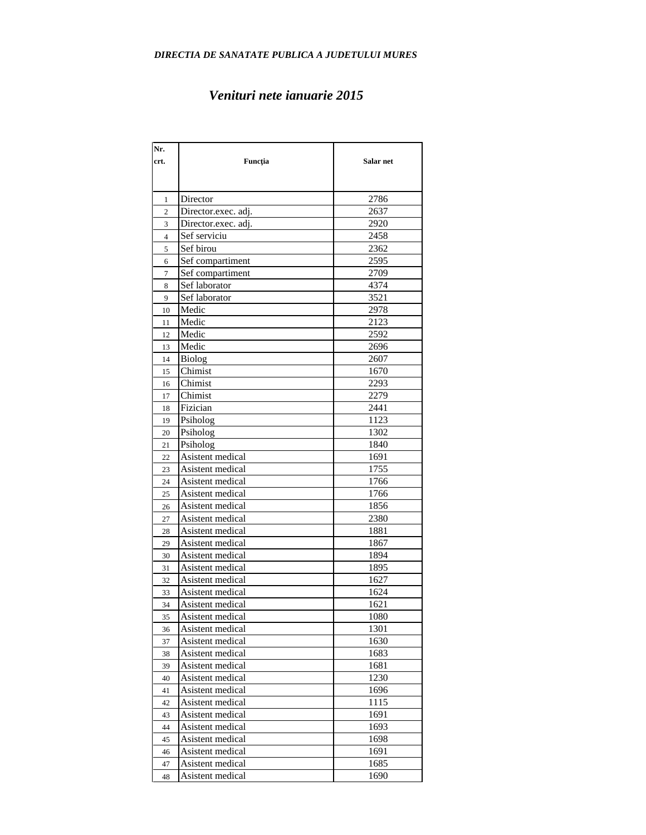#### *Venituri nete ianuarie 2015*

<u> 1989 - Johann Stoff, deutscher Stoffen und der Stoffen und der Stoffen und der Stoffen und der Stoffen und der</u>

| Nr.            |                     |           |
|----------------|---------------------|-----------|
| crt.           | Func ia             | Salar net |
|                |                     |           |
| $\mathbf{1}$   | Director            | 2786      |
| $\overline{c}$ | Director.exec. adj. | 2637      |
| 3              | Director.exec. adj. | 2920      |
| $\overline{4}$ | Sef serviciu        | 2458      |
| 5              | Sef birou           | 2362      |
| 6              | Sef compartiment    | 2595      |
| 7              | Sef compartiment    | 2709      |
| 8              | Sef laborator       | 4374      |
| 9              | Sef laborator       | 3521      |
| 10             | Medic               | 2978      |
| 11             | Medic               | 2123      |
| 12             | Medic               | 2592      |
| 13             | Medic               | 2696      |
| 14             | <b>Biolog</b>       | 2607      |
| 15             | Chimist             | 1670      |
| 16             | Chimist             | 2293      |
| 17             | Chimist             | 2279      |
| 18             | Fizician            | 2441      |
| 19             | Psiholog            | 1123      |
| 20             | Psiholog            | 1302      |
| 21             | Psiholog            | 1840      |
| 22             | Asistent medical    | 1691      |
| 23             | Asistent medical    | 1755      |
| 24             | Asistent medical    | 1766      |
| 25             | Asistent medical    | 1766      |
| 26             | Asistent medical    | 1856      |
| 27             | Asistent medical    | 2380      |
| 28             | Asistent medical    | 1881      |
| 29             | Asistent medical    | 1867      |
| 30             | Asistent medical    | 1894      |
| 31             | Asistent medical    | 1895      |
| 32             | Asistent medical    | 1627      |
| 33             | Asistent medical    | 1624      |
| 34             | Asistent medical    | 1621      |
| 35             | Asistent medical    | 1080      |
| 36             | Asistent medical    | 1301      |
| 37             | Asistent medical    | 1630      |
| 38             | Asistent medical    | 1683      |
| 39             | Asistent medical    | 1681      |
| 40             | Asistent medical    | 1230      |
| 41             | Asistent medical    | 1696      |
| 42             | Asistent medical    | 1115      |
| 43             | Asistent medical    | 1691      |
| 44             | Asistent medical    | 1693      |
| 45             | Asistent medical    | 1698      |
| 46             | Asistent medical    | 1691      |
| 47             | Asistent medical    | 1685      |
| 48             | Asistent medical    | 1690      |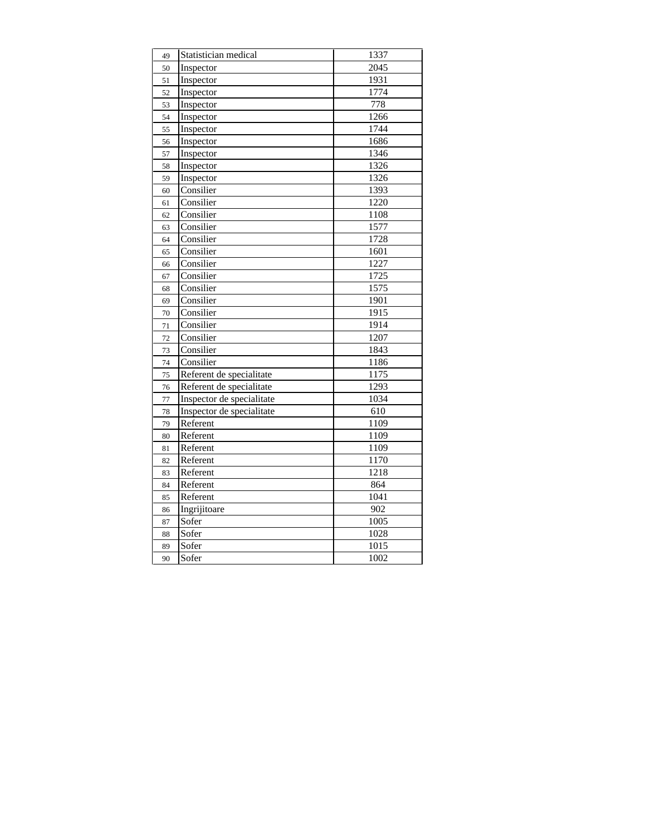| 49 | Statistician medical      | 1337 |
|----|---------------------------|------|
| 50 | Inspector                 | 2045 |
| 51 | Inspector                 | 1931 |
| 52 | Inspector                 | 1774 |
| 53 | Inspector                 | 778  |
| 54 | Inspector                 | 1266 |
| 55 | Inspector                 | 1744 |
| 56 | Inspector                 | 1686 |
| 57 | Inspector                 | 1346 |
| 58 | Inspector                 | 1326 |
| 59 | Inspector                 | 1326 |
| 60 | Consilier                 | 1393 |
| 61 | Consilier                 | 1220 |
| 62 | Consilier                 | 1108 |
| 63 | Consilier                 | 1577 |
| 64 | Consilier                 | 1728 |
| 65 | Consilier                 | 1601 |
| 66 | Consilier                 | 1227 |
| 67 | Consilier                 | 1725 |
| 68 | Consilier                 | 1575 |
| 69 | Consilier                 | 1901 |
| 70 | Consilier                 | 1915 |
| 71 | Consilier                 | 1914 |
| 72 | Consilier                 | 1207 |
| 73 | Consilier                 | 1843 |
| 74 | Consilier                 | 1186 |
| 75 | Referent de specialitate  | 1175 |
| 76 | Referent de specialitate  | 1293 |
| 77 | Inspector de specialitate | 1034 |
| 78 | Inspector de specialitate | 610  |
| 79 | Referent                  | 1109 |
| 80 | Referent                  | 1109 |
| 81 | Referent                  | 1109 |
| 82 | Referent                  | 1170 |
| 83 | Referent                  | 1218 |
| 84 | Referent                  | 864  |
| 85 | Referent                  | 1041 |
| 86 | Ingrijitoare              | 902  |
| 87 | Sofer                     | 1005 |
| 88 | Sofer                     | 1028 |
| 89 | Sofer                     | 1015 |
| 90 | Sofer                     | 1002 |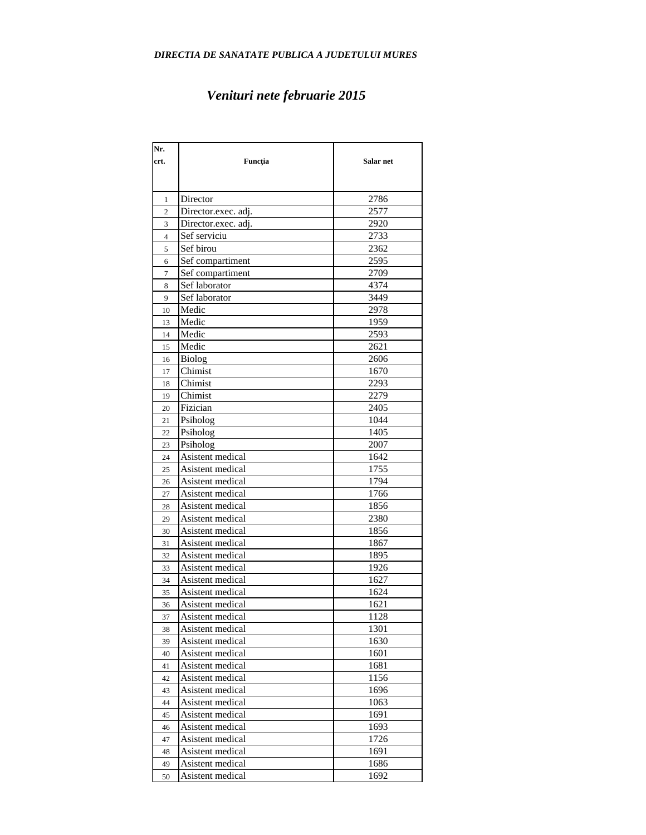# *Venituri nete februarie 2015*

| Nr.            |                     |           |
|----------------|---------------------|-----------|
| crt.           | Func ia             | Salar net |
|                |                     |           |
| $\mathbf{1}$   | Director            | 2786      |
| $\overline{c}$ | Director.exec. adj. | 2577      |
| 3              | Director.exec. adj. | 2920      |
| $\overline{4}$ | Sef serviciu        | 2733      |
| 5              | Sef birou           | 2362      |
| 6              | Sef compartiment    | 2595      |
| 7              | Sef compartiment    | 2709      |
| 8              | Sef laborator       | 4374      |
| 9              | Sef laborator       | 3449      |
| 10             | Medic               | 2978      |
| 13             | Medic               | 1959      |
| 14             | Medic               | 2593      |
| 15             | Medic               | 2621      |
| 16             | <b>Biolog</b>       | 2606      |
| 17             | Chimist             | 1670      |
| 18             | Chimist             | 2293      |
| 19             | Chimist             | 2279      |
| 20             | Fizician            | 2405      |
| 21             | Psiholog            | 1044      |
| 22             | Psiholog            | 1405      |
| 23             | Psiholog            | 2007      |
| 24             | Asistent medical    | 1642      |
| 25             | Asistent medical    | 1755      |
| 26             | Asistent medical    | 1794      |
| 27             | Asistent medical    | 1766      |
| 28             | Asistent medical    | 1856      |
| 29             | Asistent medical    | 2380      |
| 30             | Asistent medical    | 1856      |
| 31             | Asistent medical    | 1867      |
| 32             | Asistent medical    | 1895      |
| 33             | Asistent medical    | 1926      |
| 34             | Asistent medical    | 1627      |
| 35             | Asistent medical    | 1624      |
| 36             | Asistent medical    | 1621      |
| 37             | Asistent medical    | 1128      |
| 38             | Asistent medical    | 1301      |
| 39             | Asistent medical    | 1630      |
| 40             | Asistent medical    | 1601      |
| 41             | Asistent medical    | 1681      |
| 42             | Asistent medical    | 1156      |
| 43             | Asistent medical    | 1696      |
| 44             | Asistent medical    | 1063      |
| 45             | Asistent medical    | 1691      |
| 46             | Asistent medical    | 1693      |
| 47             | Asistent medical    | 1726      |
| 48             | Asistent medical    | 1691      |
| 49             | Asistent medical    | 1686      |
| 50             | Asistent medical    | 1692      |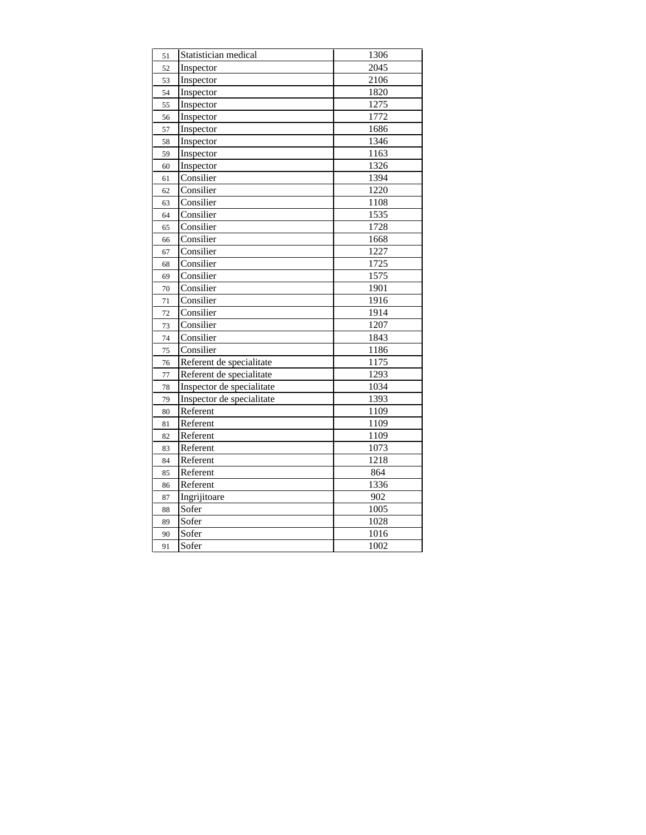| 51 | Statistician medical      | 1306 |
|----|---------------------------|------|
| 52 | Inspector                 | 2045 |
| 53 | Inspector                 | 2106 |
| 54 | Inspector                 | 1820 |
| 55 | Inspector                 | 1275 |
| 56 | Inspector                 | 1772 |
| 57 | Inspector                 | 1686 |
| 58 | Inspector                 | 1346 |
| 59 | Inspector                 | 1163 |
| 60 | Inspector                 | 1326 |
| 61 | Consilier                 | 1394 |
| 62 | Consilier                 | 1220 |
| 63 | Consilier                 | 1108 |
| 64 | Consilier                 | 1535 |
| 65 | Consilier                 | 1728 |
| 66 | Consilier                 | 1668 |
| 67 | Consilier                 | 1227 |
| 68 | Consilier                 | 1725 |
| 69 | Consilier                 | 1575 |
| 70 | Consilier                 | 1901 |
| 71 | Consilier                 | 1916 |
| 72 | Consilier                 | 1914 |
| 73 | Consilier                 | 1207 |
| 74 | Consilier                 | 1843 |
| 75 | Consilier                 | 1186 |
| 76 | Referent de specialitate  | 1175 |
| 77 | Referent de specialitate  | 1293 |
| 78 | Inspector de specialitate | 1034 |
| 79 | Inspector de specialitate | 1393 |
| 80 | Referent                  | 1109 |
| 81 | Referent                  | 1109 |
| 82 | Referent                  | 1109 |
| 83 | Referent                  | 1073 |
| 84 | Referent                  | 1218 |
| 85 | Referent                  | 864  |
| 86 | Referent                  | 1336 |
| 87 | Ingrijitoare              | 902  |
| 88 | Sofer                     | 1005 |
| 89 | Sofer                     | 1028 |
| 90 | Sofer                     | 1016 |
| 91 | Sofer                     | 1002 |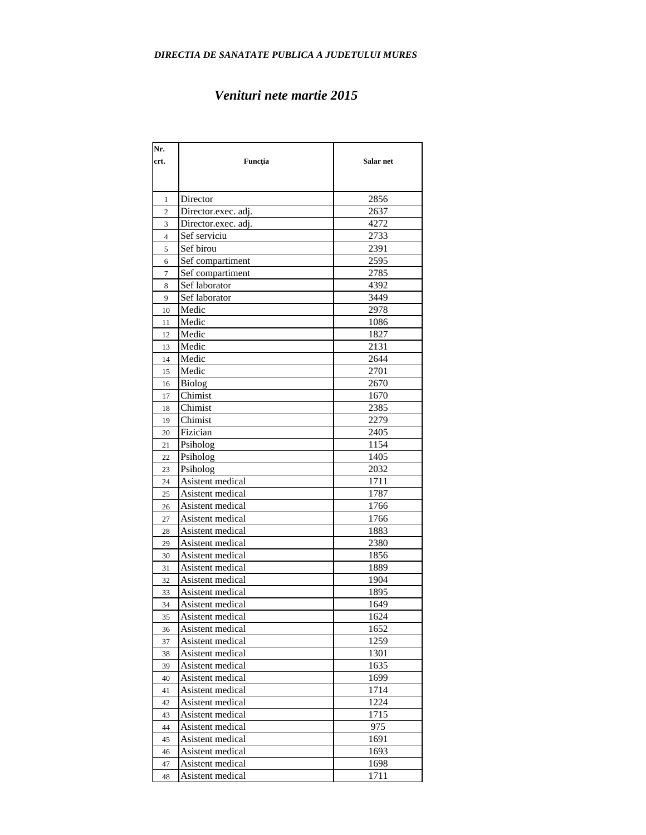#### *Venituri nete martie 2015*

<u> 1989 - Johann Stoff, deutscher Stoffen und der Stoffen und der Stoffen und der Stoffen und der Stoffen und der</u>

| Nr.            |                     |           |
|----------------|---------------------|-----------|
| crt.           | Func ia             | Salar net |
|                |                     |           |
| $\mathbf{1}$   | Director            | 2856      |
| $\overline{c}$ | Director.exec. adj. | 2637      |
| 3              | Director.exec. adj. | 4272      |
| $\overline{4}$ | Sef serviciu        | 2733      |
| 5              | Sef birou           | 2391      |
| 6              | Sef compartiment    | 2595      |
| $\tau$         | Sef compartiment    | 2785      |
| 8              | Sef laborator       | 4392      |
| 9              | Sef laborator       | 3449      |
| 10             | Medic               | 2978      |
| 11             | Medic               | 1086      |
| 12             | Medic               | 1827      |
| 13             | Medic               | 2131      |
| 14             | Medic               | 2644      |
| 15             | Medic               | 2701      |
| 16             | <b>Biolog</b>       | 2670      |
| 17             | Chimist             | 1670      |
| 18             | Chimist             | 2385      |
| 19             | Chimist             | 2279      |
| 20             | Fizician            | 2405      |
| 21             | Psiholog            | 1154      |
| 22             | Psiholog            | 1405      |
| 23             | Psiholog            | 2032      |
| 24             | Asistent medical    | 1711      |
| 25             | Asistent medical    | 1787      |
| 26             | Asistent medical    | 1766      |
| 27             | Asistent medical    | 1766      |
| 28             | Asistent medical    | 1883      |
| 29             | Asistent medical    | 2380      |
| 30             | Asistent medical    | 1856      |
| 31             | Asistent medical    | 1889      |
| 32             | Asistent medical    | 1904      |
| 33             | Asistent medical    | 1895      |
| 34             | Asistent medical    | 1649      |
| 35             | Asistent medical    | 1624      |
| 36             | Asistent medical    | 1652      |
| 37             | Asistent medical    | 1259      |
| 38             | Asistent medical    | 1301      |
| 39             | Asistent medical    | 1635      |
| 40             | Asistent medical    | 1699      |
| 41             | Asistent medical    | 1714      |
| 42             | Asistent medical    | 1224      |
| 43             | Asistent medical    | 1715      |
| 44             | Asistent medical    | 975       |
| 45             | Asistent medical    | 1691      |
| 46             | Asistent medical    | 1693      |
| 47             | Asistent medical    | 1698      |
| 48             | Asistent medical    | 1711      |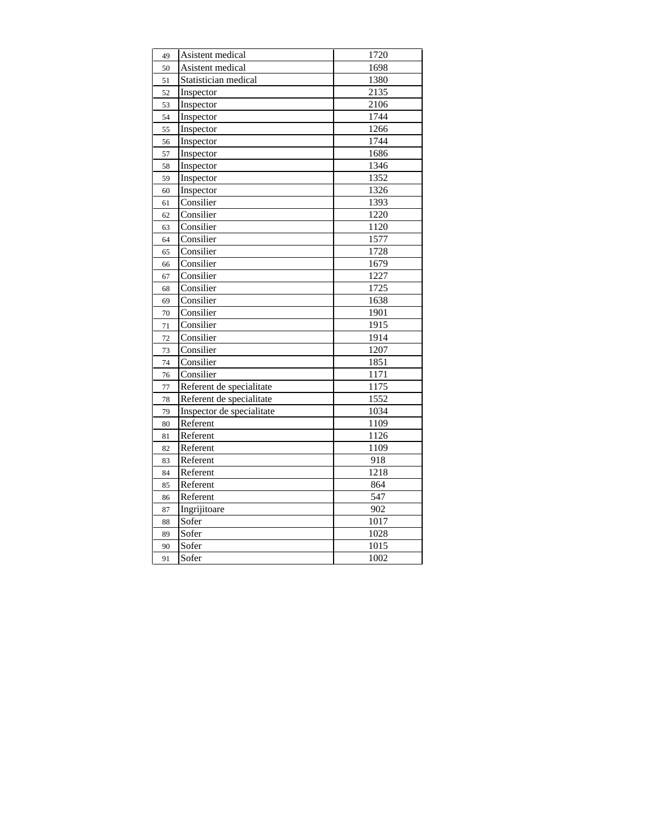| 49 | Asistent medical          | 1720 |
|----|---------------------------|------|
| 50 | Asistent medical          | 1698 |
| 51 | Statistician medical      | 1380 |
| 52 | Inspector                 | 2135 |
| 53 | Inspector                 | 2106 |
| 54 | Inspector                 | 1744 |
| 55 | Inspector                 | 1266 |
| 56 | Inspector                 | 1744 |
| 57 | Inspector                 | 1686 |
| 58 | Inspector                 | 1346 |
| 59 | Inspector                 | 1352 |
| 60 | Inspector                 | 1326 |
| 61 | Consilier                 | 1393 |
| 62 | Consilier                 | 1220 |
| 63 | Consilier                 | 1120 |
| 64 | Consilier                 | 1577 |
| 65 | Consilier                 | 1728 |
| 66 | Consilier                 | 1679 |
| 67 | Consilier                 | 1227 |
| 68 | Consilier                 | 1725 |
| 69 | Consilier                 | 1638 |
| 70 | Consilier                 | 1901 |
| 71 | Consilier                 | 1915 |
| 72 | Consilier                 | 1914 |
| 73 | Consilier                 | 1207 |
| 74 | Consilier                 | 1851 |
| 76 | Consilier                 | 1171 |
| 77 | Referent de specialitate  | 1175 |
| 78 | Referent de specialitate  | 1552 |
| 79 | Inspector de specialitate | 1034 |
| 80 | Referent                  | 1109 |
| 81 | Referent                  | 1126 |
| 82 | Referent                  | 1109 |
| 83 | Referent                  | 918  |
| 84 | Referent                  | 1218 |
| 85 | Referent                  | 864  |
| 86 | Referent                  | 547  |
| 87 | Ingrijitoare              | 902  |
| 88 | Sofer                     | 1017 |
| 89 | Sofer                     | 1028 |
| 90 | Sofer                     | 1015 |
| 91 | Sofer                     | 1002 |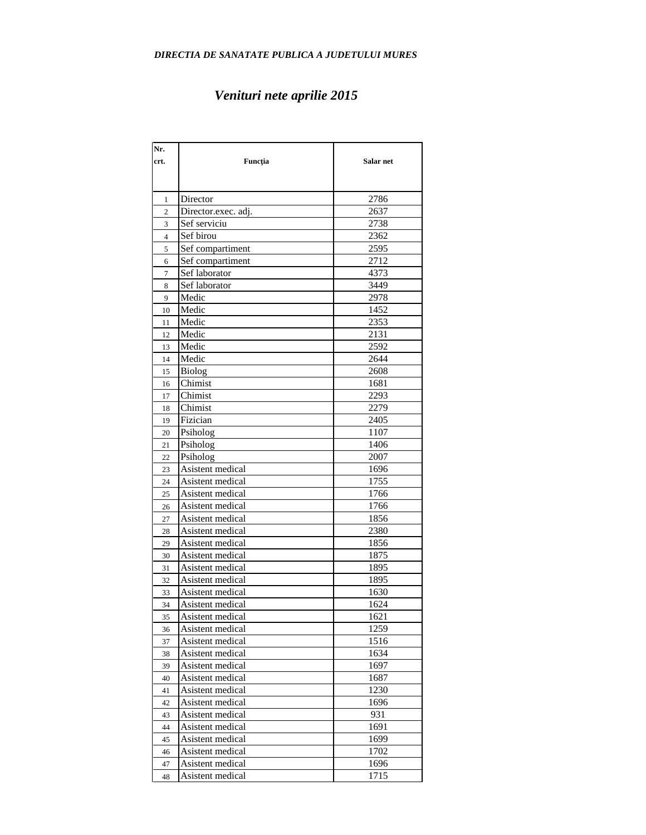# *Venituri nete aprilie 2015*

| Nr.            |                     |           |
|----------------|---------------------|-----------|
| crt.           | Func ia             | Salar net |
|                |                     |           |
| $\mathbf{1}$   | Director            | 2786      |
| $\overline{c}$ | Director.exec. adj. | 2637      |
| 3              | Sef serviciu        | 2738      |
| $\overline{4}$ | Sef birou           | 2362      |
| 5              | Sef compartiment    | 2595      |
| 6              | Sef compartiment    | 2712      |
| 7              | Sef laborator       | 4373      |
| 8              | Sef laborator       | 3449      |
| 9              | Medic               | 2978      |
| 10             | Medic               | 1452      |
| 11             | Medic               | 2353      |
| 12             | Medic               | 2131      |
| 13             | Medic               | 2592      |
| 14             | Medic               | 2644      |
| 15             | <b>Biolog</b>       | 2608      |
| 16             | Chimist             | 1681      |
| 17             | Chimist             | 2293      |
| 18             | Chimist             | 2279      |
| 19             | Fizician            | 2405      |
| 20             | Psiholog            | 1107      |
| 21             | Psiholog            | 1406      |
| 22             | Psiholog            | 2007      |
| 23             | Asistent medical    | 1696      |
| 24             | Asistent medical    | 1755      |
| 25             | Asistent medical    | 1766      |
| 26             | Asistent medical    | 1766      |
| 27             | Asistent medical    | 1856      |
| 28             | Asistent medical    | 2380      |
| 29             | Asistent medical    | 1856      |
| 30             | Asistent medical    | 1875      |
| 31             | Asistent medical    | 1895      |
| 32             | Asistent medical    | 1895      |
| 33             | Asistent medical    | 1630      |
| 34             | Asistent medical    | 1624      |
| 35             | Asistent medical    | 1621      |
| 36             | Asistent medical    | 1259      |
| 37             | Asistent medical    | 1516      |
| 38             | Asistent medical    | 1634      |
| 39             | Asistent medical    | 1697      |
| 40             | Asistent medical    | 1687      |
| 41             | Asistent medical    | 1230      |
| 42             | Asistent medical    | 1696      |
| 43             | Asistent medical    | 931       |
| 44             | Asistent medical    | 1691      |
| 45             | Asistent medical    | 1699      |
| 46             | Asistent medical    | 1702      |
| 47             | Asistent medical    | 1696      |
| 48             | Asistent medical    | 1715      |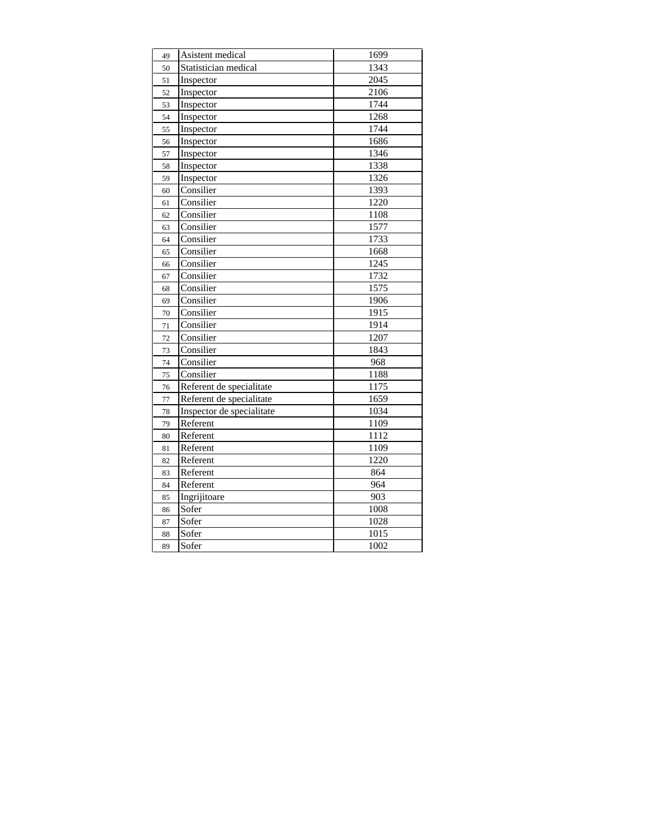| 49 | Asistent medical          | 1699 |
|----|---------------------------|------|
| 50 | Statistician medical      | 1343 |
| 51 | Inspector                 | 2045 |
| 52 | Inspector                 | 2106 |
| 53 | Inspector                 | 1744 |
| 54 | Inspector                 | 1268 |
| 55 | Inspector                 | 1744 |
| 56 | Inspector                 | 1686 |
| 57 | Inspector                 | 1346 |
| 58 | Inspector                 | 1338 |
| 59 | Inspector                 | 1326 |
| 60 | Consilier                 | 1393 |
| 61 | Consilier                 | 1220 |
| 62 | Consilier                 | 1108 |
| 63 | Consilier                 | 1577 |
| 64 | Consilier                 | 1733 |
| 65 | Consilier                 | 1668 |
| 66 | Consilier                 | 1245 |
| 67 | Consilier                 | 1732 |
| 68 | Consilier                 | 1575 |
| 69 | Consilier                 | 1906 |
| 70 | Consilier                 | 1915 |
| 71 | Consilier                 | 1914 |
| 72 | Consilier                 | 1207 |
| 73 | Consilier                 | 1843 |
| 74 | Consilier                 | 968  |
| 75 | Consilier                 | 1188 |
| 76 | Referent de specialitate  | 1175 |
| 77 | Referent de specialitate  | 1659 |
| 78 | Inspector de specialitate | 1034 |
| 79 | Referent                  | 1109 |
| 80 | Referent                  | 1112 |
| 81 | Referent                  | 1109 |
| 82 | Referent                  | 1220 |
| 83 | Referent                  | 864  |
| 84 | Referent                  | 964  |
| 85 | Ingrijitoare              | 903  |
| 86 | Sofer                     | 1008 |
| 87 | Sofer                     | 1028 |
| 88 | Sofer                     | 1015 |
| 89 | Sofer                     | 1002 |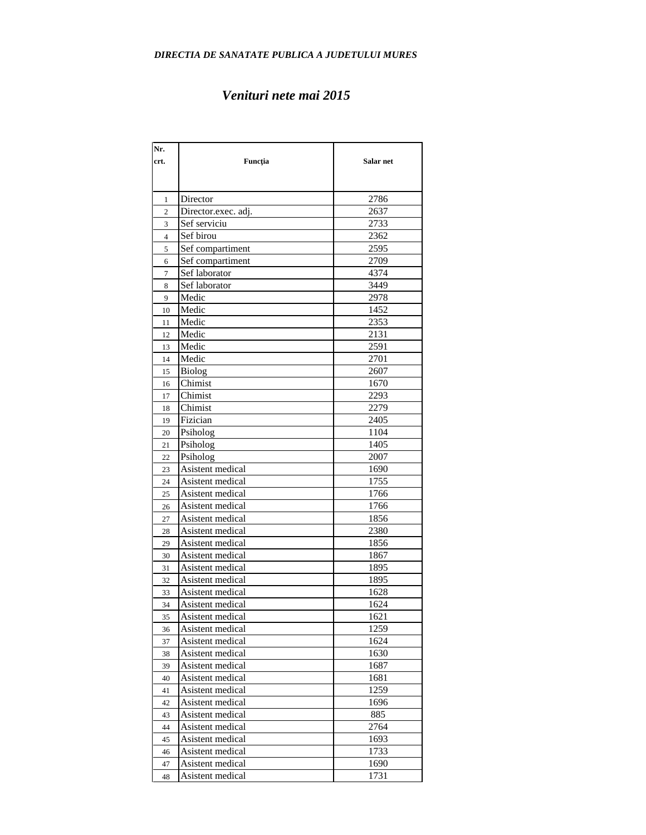#### *Venituri nete mai 2015*

<u> 1989 - Johann Stoff, deutscher Stoffen und der Stoffen und der Stoffen und der Stoffen und der Stoffen und der</u>

| Nr.            |                     |           |
|----------------|---------------------|-----------|
| crt.           | Func ia             | Salar net |
|                |                     |           |
| $\mathbf{1}$   | Director            | 2786      |
| $\overline{c}$ | Director.exec. adj. | 2637      |
| 3              | Sef serviciu        | 2733      |
| $\overline{4}$ | Sef birou           | 2362      |
| 5              | Sef compartiment    | 2595      |
| 6              | Sef compartiment    | 2709      |
| $\tau$         | Sef laborator       | 4374      |
| 8              | Sef laborator       | 3449      |
| 9              | Medic               | 2978      |
| 10             | Medic               | 1452      |
| 11             | Medic               | 2353      |
| 12             | Medic               | 2131      |
| 13             | Medic               | 2591      |
| 14             | Medic               | 2701      |
| 15             | <b>Biolog</b>       | 2607      |
| 16             | Chimist             | 1670      |
| 17             | Chimist             | 2293      |
| 18             | Chimist             | 2279      |
| 19             | Fizician            | 2405      |
| 20             | Psiholog            | 1104      |
| 21             | Psiholog            | 1405      |
| 22             | Psiholog            | 2007      |
| 23             | Asistent medical    | 1690      |
| 24             | Asistent medical    | 1755      |
| 25             | Asistent medical    | 1766      |
| 26             | Asistent medical    | 1766      |
| 27             | Asistent medical    | 1856      |
| 28             | Asistent medical    | 2380      |
| 29             | Asistent medical    | 1856      |
| 30             | Asistent medical    | 1867      |
| 31             | Asistent medical    | 1895      |
| 32             | Asistent medical    | 1895      |
| 33             | Asistent medical    | 1628      |
| 34             | Asistent medical    | 1624      |
| 35             | Asistent medical    | 1621      |
| 36             | Asistent medical    | 1259      |
| 37             | Asistent medical    | 1624      |
| 38             | Asistent medical    | 1630      |
| 39             | Asistent medical    | 1687      |
| 40             | Asistent medical    | 1681      |
| 41             | Asistent medical    | 1259      |
| 42             | Asistent medical    | 1696      |
| 43             | Asistent medical    | 885       |
| 44             | Asistent medical    | 2764      |
| 45             | Asistent medical    | 1693      |
| 46             | Asistent medical    | 1733      |
| 47             | Asistent medical    | 1690      |
| 48             | Asistent medical    | 1731      |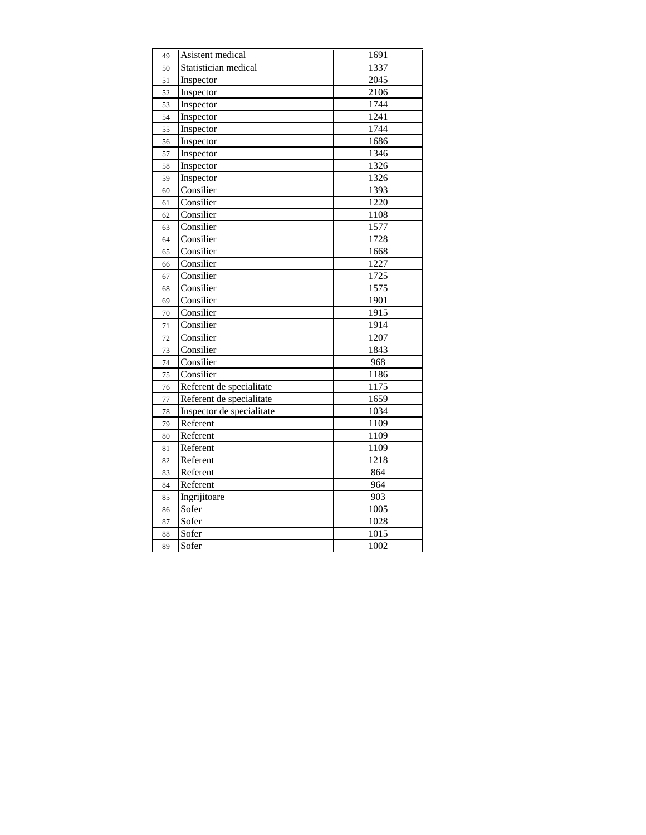| 49 | Asistent medical          | 1691 |
|----|---------------------------|------|
| 50 | Statistician medical      | 1337 |
| 51 | Inspector                 | 2045 |
| 52 | Inspector                 | 2106 |
| 53 | Inspector                 | 1744 |
| 54 | Inspector                 | 1241 |
| 55 | Inspector                 | 1744 |
| 56 | Inspector                 | 1686 |
| 57 | Inspector                 | 1346 |
| 58 | Inspector                 | 1326 |
| 59 | Inspector                 | 1326 |
| 60 | Consilier                 | 1393 |
| 61 | Consilier                 | 1220 |
| 62 | Consilier                 | 1108 |
| 63 | Consilier                 | 1577 |
| 64 | Consilier                 | 1728 |
| 65 | Consilier                 | 1668 |
| 66 | Consilier                 | 1227 |
| 67 | Consilier                 | 1725 |
| 68 | Consilier                 | 1575 |
| 69 | Consilier                 | 1901 |
| 70 | Consilier                 | 1915 |
| 71 | Consilier                 | 1914 |
| 72 | Consilier                 | 1207 |
| 73 | Consilier                 | 1843 |
| 74 | Consilier                 | 968  |
| 75 | Consilier                 | 1186 |
| 76 | Referent de specialitate  | 1175 |
| 77 | Referent de specialitate  | 1659 |
| 78 | Inspector de specialitate | 1034 |
| 79 | Referent                  | 1109 |
| 80 | Referent                  | 1109 |
| 81 | Referent                  | 1109 |
| 82 | Referent                  | 1218 |
| 83 | Referent                  | 864  |
| 84 | Referent                  | 964  |
| 85 | Ingrijitoare              | 903  |
| 86 | Sofer                     | 1005 |
| 87 | Sofer                     | 1028 |
| 88 | Sofer                     | 1015 |
| 89 | Sofer                     | 1002 |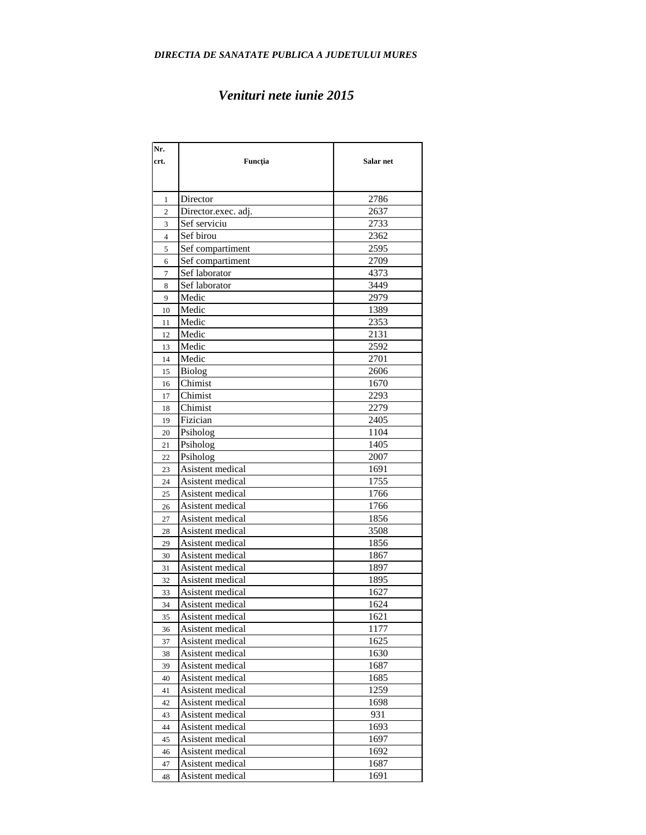#### *Venituri nete iunie 2015*

<u> 1980 - Johann Barn, mars an t-Amerikaansk politiker (</u>

| Nr.<br>crt.    |                     |           |
|----------------|---------------------|-----------|
|                | Func ia             | Salar net |
|                |                     |           |
| $\mathbf{1}$   | Director            | 2786      |
| $\overline{c}$ | Director.exec. adj. | 2637      |
| 3              | Sef serviciu        | 2733      |
| $\overline{4}$ | Sef birou           | 2362      |
| 5              | Sef compartiment    | 2595      |
| 6              | Sef compartiment    | 2709      |
| 7              | Sef laborator       | 4373      |
| 8              | Sef laborator       | 3449      |
| 9              | Medic               | 2979      |
| 10             | Medic               | 1389      |
| 11             | Medic               | 2353      |
| 12             | Medic               | 2131      |
| 13             | Medic               | 2592      |
| 14             | Medic               | 2701      |
| 15             | <b>Biolog</b>       | 2606      |
| 16             | Chimist             | 1670      |
| 17             | Chimist             | 2293      |
| 18             | Chimist             | 2279      |
| 19             | Fizician            | 2405      |
| 20             | Psiholog            | 1104      |
| 21             | Psiholog            | 1405      |
| 22             | Psiholog            | 2007      |
| 23             | Asistent medical    | 1691      |
| 24             | Asistent medical    | 1755      |
| 25             | Asistent medical    | 1766      |
| 26             | Asistent medical    | 1766      |
| 27             | Asistent medical    | 1856      |
| 28             | Asistent medical    | 3508      |
| 29             | Asistent medical    | 1856      |
| 30             | Asistent medical    | 1867      |
| 31             | Asistent medical    | 1897      |
| 32             | Asistent medical    | 1895      |
| 33             | Asistent medical    | 1627      |
| 34             | Asistent medical    | 1624      |
| 35             | Asistent medical    | 1621      |
| 36             | Asistent medical    | 1177      |
| 37             | Asistent medical    | 1625      |
| 38             | Asistent medical    | 1630      |
| 39             | Asistent medical    | 1687      |
| 40             | Asistent medical    | 1685      |
| 41             | Asistent medical    | 1259      |
| 42             | Asistent medical    | 1698      |
| 43             | Asistent medical    | 931       |
| 44             | Asistent medical    | 1693      |
| 45             | Asistent medical    | 1697      |
| 46             | Asistent medical    | 1692      |
| 47             | Asistent medical    | 1687      |
| 48             | Asistent medical    | 1691      |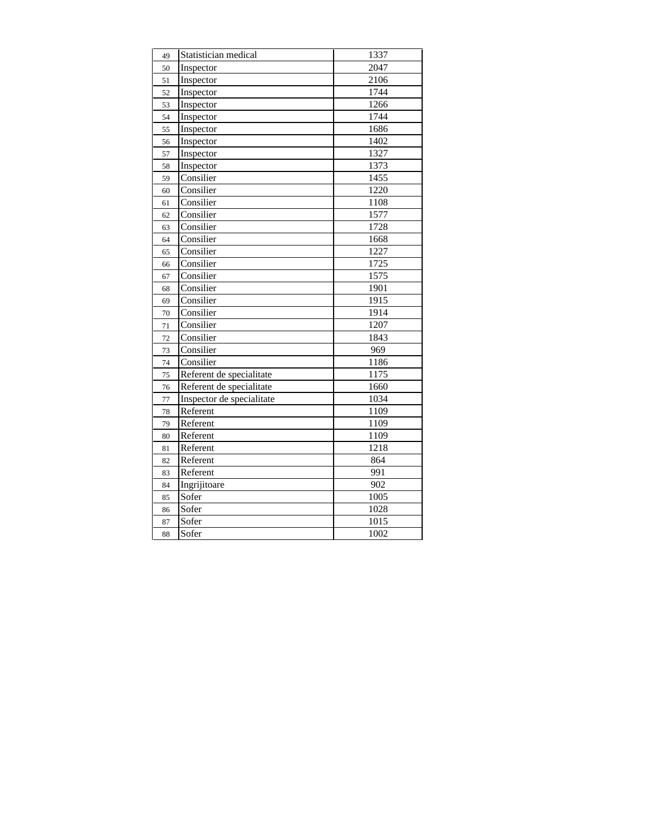| 49 | Statistician medical      | 1337              |
|----|---------------------------|-------------------|
| 50 | Inspector                 | 2047              |
| 51 | Inspector                 | 2106              |
| 52 | Inspector                 | 1744              |
| 53 | Inspector                 | 1266              |
| 54 | Inspector                 | $\overline{1744}$ |
| 55 | Inspector                 | 1686              |
| 56 | Inspector                 | 1402              |
| 57 | Inspector                 | 1327              |
| 58 | Inspector                 | 1373              |
| 59 | Consilier                 | 1455              |
| 60 | Consilier                 | 1220              |
| 61 | Consilier                 | 1108              |
| 62 | Consilier                 | 1577              |
| 63 | Consilier                 | 1728              |
| 64 | Consilier                 | 1668              |
| 65 | Consilier                 | 1227              |
| 66 | Consilier                 | 1725              |
| 67 | Consilier                 | 1575              |
| 68 | Consilier                 | 1901              |
| 69 | Consilier                 | 1915              |
| 70 | Consilier                 | 1914              |
| 71 | Consilier                 | 1207              |
| 72 | Consilier                 | 1843              |
| 73 | Consilier                 | 969               |
| 74 | Consilier                 | 1186              |
| 75 | Referent de specialitate  | 1175              |
| 76 | Referent de specialitate  | 1660              |
| 77 | Inspector de specialitate | 1034              |
| 78 | Referent                  | 1109              |
| 79 | Referent                  | 1109              |
| 80 | Referent                  | 1109              |
| 81 | Referent                  | 1218              |
| 82 | Referent                  | 864               |
| 83 | Referent                  | 991               |
| 84 | Ingrijitoare              | 902               |
| 85 | Sofer                     | 1005              |
| 86 | Sofer                     | 1028              |
| 87 | Sofer                     | 1015              |
| 88 | Sofer                     | 1002              |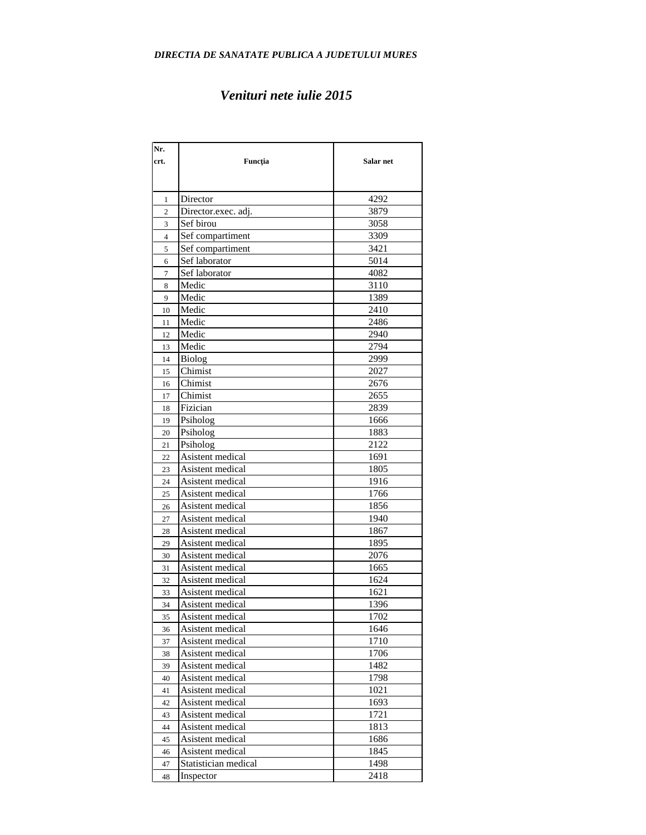#### *Venituri nete iulie 2015*

<u> 1980 - Johann Barnett, fransk politik (f. 1980)</u>

| Nr.            |                      |           |
|----------------|----------------------|-----------|
| crt.           | Func ia              | Salar net |
|                |                      |           |
| $\mathbf{1}$   | Director             | 4292      |
| $\overline{c}$ | Director.exec. adj.  | 3879      |
| 3              | Sef birou            | 3058      |
| $\overline{4}$ | Sef compartiment     | 3309      |
| 5              | Sef compartiment     | 3421      |
| 6              | Sef laborator        | 5014      |
| $\tau$         | Sef laborator        | 4082      |
| 8              | Medic                | 3110      |
| 9              | Medic                | 1389      |
| 10             | Medic                | 2410      |
| 11             | Medic                | 2486      |
| 12             | Medic                | 2940      |
| 13             | Medic                | 2794      |
| 14             | <b>Biolog</b>        | 2999      |
| 15             | Chimist              | 2027      |
| 16             | Chimist              | 2676      |
| 17             | Chimist              | 2655      |
| 18             | Fizician             | 2839      |
| 19             | Psiholog             | 1666      |
| 20             | Psiholog             | 1883      |
| 21             | Psiholog             | 2122      |
| 22             | Asistent medical     | 1691      |
| 23             | Asistent medical     | 1805      |
| 24             | Asistent medical     | 1916      |
| 25             | Asistent medical     | 1766      |
| 26             | Asistent medical     | 1856      |
| 27             | Asistent medical     | 1940      |
| 28             | Asistent medical     | 1867      |
| 29             | Asistent medical     | 1895      |
| 30             | Asistent medical     | 2076      |
| 31             | Asistent medical     | 1665      |
| 32             | Asistent medical     | 1624      |
| 33             | Asistent medical     | 1621      |
| 34             | Asistent medical     | 1396      |
| 35             | Asistent medical     | 1702      |
| 36             | Asistent medical     | 1646      |
| 37             | Asistent medical     | 1710      |
| 38             | Asistent medical     | 1706      |
| 39             | Asistent medical     | 1482      |
| 40             | Asistent medical     | 1798      |
| 41             | Asistent medical     | 1021      |
| 42             | Asistent medical     | 1693      |
| 43             | Asistent medical     | 1721      |
| 44             | Asistent medical     | 1813      |
| 45             | Asistent medical     | 1686      |
| 46             | Asistent medical     | 1845      |
| 47             | Statistician medical | 1498      |
| 48             | Inspector            | 2418      |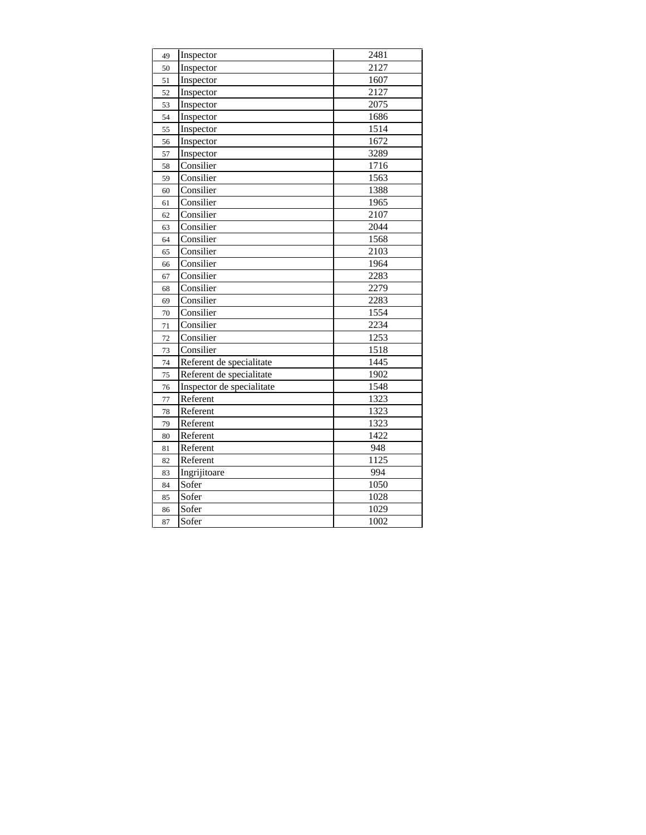| 49 | Inspector                 | 2481 |
|----|---------------------------|------|
| 50 | Inspector                 | 2127 |
| 51 | Inspector                 | 1607 |
| 52 | Inspector                 | 2127 |
| 53 | Inspector                 | 2075 |
| 54 | Inspector                 | 1686 |
| 55 | Inspector                 | 1514 |
| 56 | Inspector                 | 1672 |
| 57 | Inspector                 | 3289 |
| 58 | Consilier                 | 1716 |
| 59 | Consilier                 | 1563 |
| 60 | Consilier                 | 1388 |
| 61 | Consilier                 | 1965 |
| 62 | Consilier                 | 2107 |
| 63 | Consilier                 | 2044 |
| 64 | Consilier                 | 1568 |
| 65 | Consilier                 | 2103 |
| 66 | Consilier                 | 1964 |
| 67 | Consilier                 | 2283 |
| 68 | Consilier                 | 2279 |
| 69 | Consilier                 | 2283 |
| 70 | Consilier                 | 1554 |
| 71 | Consilier                 | 2234 |
| 72 | Consilier                 | 1253 |
| 73 | Consilier                 | 1518 |
| 74 | Referent de specialitate  | 1445 |
| 75 | Referent de specialitate  | 1902 |
| 76 | Inspector de specialitate | 1548 |
| 77 | Referent                  | 1323 |
| 78 | Referent                  | 1323 |
| 79 | Referent                  | 1323 |
| 80 | Referent                  | 1422 |
| 81 | Referent                  | 948  |
| 82 | Referent                  | 1125 |
| 83 | Ingrijitoare              | 994  |
| 84 | Sofer                     | 1050 |
| 85 | Sofer                     | 1028 |
| 86 | Sofer                     | 1029 |
| 87 | Sofer                     | 1002 |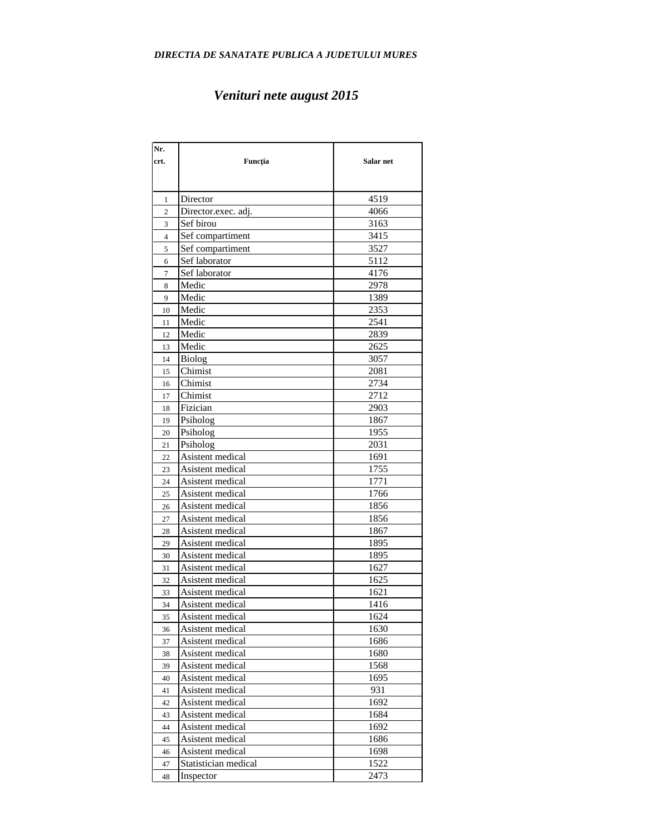# *Venituri nete august 2015*

| Nr.            |                      |           |
|----------------|----------------------|-----------|
| crt.           | Func ia              | Salar net |
|                |                      |           |
| $\mathbf{1}$   | Director             | 4519      |
| $\overline{c}$ | Director.exec. adj.  | 4066      |
| 3              | Sef birou            | 3163      |
| $\overline{4}$ | Sef compartiment     | 3415      |
| 5              | Sef compartiment     | 3527      |
| 6              | Sef laborator        | 5112      |
| 7              | Sef laborator        | 4176      |
| 8              | Medic                | 2978      |
| 9              | Medic                | 1389      |
| 10             | Medic                | 2353      |
| 11             | Medic                | 2541      |
| 12             | Medic                | 2839      |
| 13             | Medic                | 2625      |
| 14             | <b>Biolog</b>        | 3057      |
| 15             | Chimist              | 2081      |
| 16             | Chimist              | 2734      |
| 17             | Chimist              | 2712      |
| 18             | Fizician             | 2903      |
| 19             | Psiholog             | 1867      |
| 20             | Psiholog             | 1955      |
| 21             | Psiholog             | 2031      |
| 22             | Asistent medical     | 1691      |
| 23             | Asistent medical     | 1755      |
| 24             | Asistent medical     | 1771      |
| 25             | Asistent medical     | 1766      |
| 26             | Asistent medical     | 1856      |
| 27             | Asistent medical     | 1856      |
| 28             | Asistent medical     | 1867      |
| 29             | Asistent medical     | 1895      |
| 30             | Asistent medical     | 1895      |
| 31             | Asistent medical     | 1627      |
| 32             | Asistent medical     | 1625      |
| 33             | Asistent medical     | 1621      |
| 34             | Asistent medical     | 1416      |
| 35             | Asistent medical     | 1624      |
| 36             | Asistent medical     | 1630      |
| 37             | Asistent medical     | 1686      |
| 38             | Asistent medical     | 1680      |
| 39             | Asistent medical     | 1568      |
| 40             | Asistent medical     | 1695      |
| 41             | Asistent medical     | 931       |
| 42             | Asistent medical     | 1692      |
| 43             | Asistent medical     | 1684      |
| 44             | Asistent medical     | 1692      |
| 45             | Asistent medical     | 1686      |
| 46             | Asistent medical     | 1698      |
| 47             | Statistician medical | 1522      |
| 48             | Inspector            | 2473      |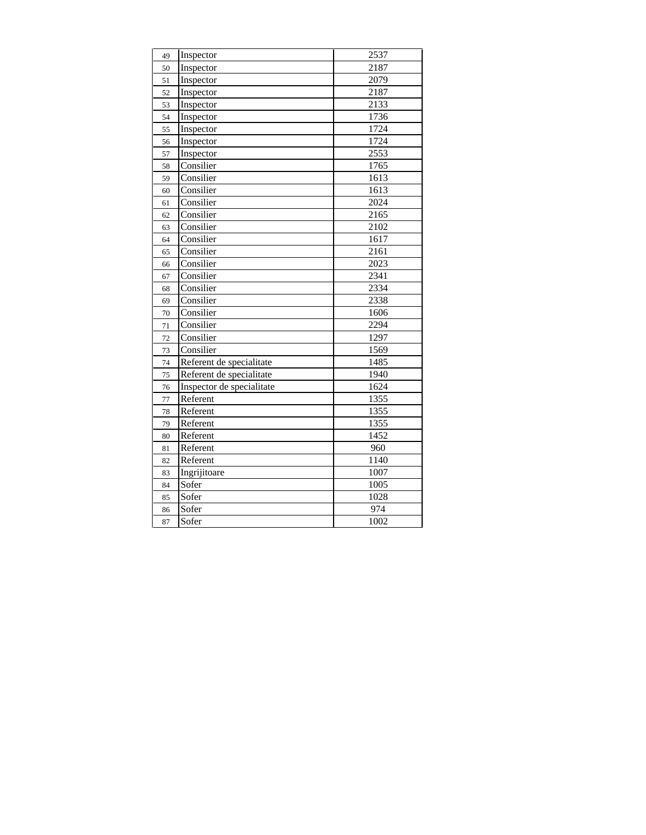| 49 | Inspector                 | 2537 |
|----|---------------------------|------|
| 50 | Inspector                 | 2187 |
| 51 | Inspector                 | 2079 |
| 52 | Inspector                 | 2187 |
| 53 | Inspector                 | 2133 |
| 54 | Inspector                 | 1736 |
| 55 | Inspector                 | 1724 |
| 56 | Inspector                 | 1724 |
| 57 | Inspector                 | 2553 |
| 58 | Consilier                 | 1765 |
| 59 | Consilier                 | 1613 |
| 60 | Consilier                 | 1613 |
| 61 | Consilier                 | 2024 |
| 62 | Consilier                 | 2165 |
| 63 | Consilier                 | 2102 |
| 64 | Consilier                 | 1617 |
| 65 | Consilier                 | 2161 |
| 66 | Consilier                 | 2023 |
| 67 | Consilier                 | 2341 |
| 68 | Consilier                 | 2334 |
| 69 | Consilier                 | 2338 |
| 70 | Consilier                 | 1606 |
| 71 | Consilier                 | 2294 |
| 72 | Consilier                 | 1297 |
| 73 | Consilier                 | 1569 |
| 74 | Referent de specialitate  | 1485 |
| 75 | Referent de specialitate  | 1940 |
| 76 | Inspector de specialitate | 1624 |
| 77 | Referent                  | 1355 |
| 78 | Referent                  | 1355 |
| 79 | Referent                  | 1355 |
| 80 | Referent                  | 1452 |
| 81 | Referent                  | 960  |
| 82 | Referent                  | 1140 |
| 83 | Ingrijitoare              | 1007 |
| 84 | Sofer                     | 1005 |
| 85 | Sofer                     | 1028 |
| 86 | Sofer                     | 974  |
| 87 | Sofer                     | 1002 |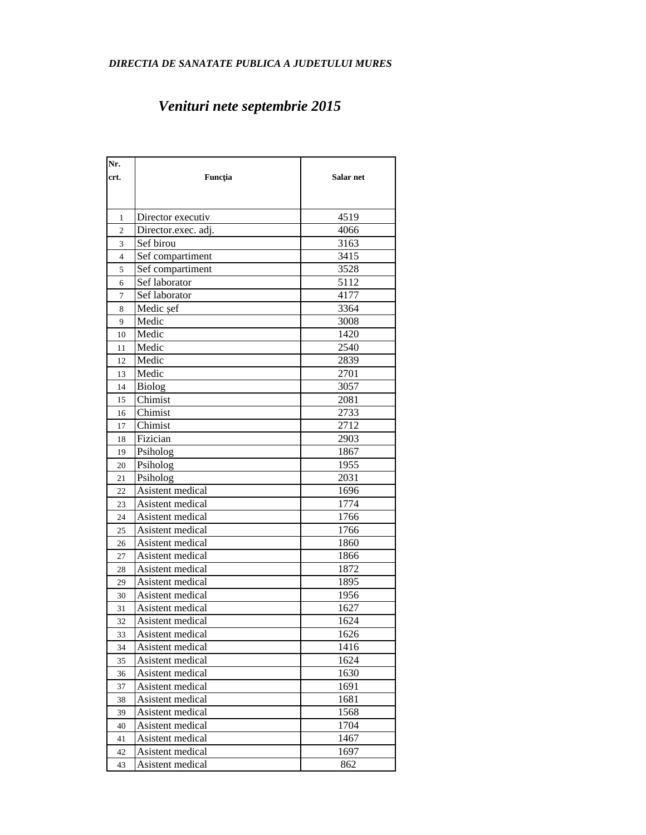# *Venituri nete septembrie 2015*

| Nr.            |                                  |              |
|----------------|----------------------------------|--------------|
| crt.           | Func ia                          | Salar net    |
|                |                                  |              |
|                |                                  |              |
| 1              | Director executiv                | 4519         |
| $\overline{c}$ | Director.exec. adj.<br>Sef birou | 4066<br>3163 |
| 3              |                                  | 3415         |
| $\overline{4}$ | Sef compartiment                 | 3528         |
| 5              | Sef compartiment                 | 5112         |
| 6              | Sef laborator                    |              |
| 7              | Sef laborator                    | 4177         |
| 8              | Medic ef                         | 3364         |
| 9              | Medic                            | 3008         |
| 10             | Medic                            | 1420         |
| 11             | Medic                            | 2540         |
| 12             | Medic                            | 2839         |
| 13             | Medic                            | 2701         |
| 14             | <b>Biolog</b>                    | 3057         |
| 15             | Chimist                          | 2081         |
| 16             | Chimist                          | 2733         |
| 17             | Chimist                          | 2712         |
| 18             | Fizician                         | 2903         |
| 19             | Psiholog                         | 1867         |
| 20             | Psiholog                         | 1955         |
| 21             | Psiholog                         | 2031         |
| 22             | Asistent medical                 | 1696         |
| 23             | Asistent medical                 | 1774         |
| 24             | Asistent medical                 | 1766         |
| 25             | Asistent medical                 | 1766         |
| 26             | Asistent medical                 | 1860         |
| 27             | Asistent medical                 | 1866         |
| 28             | Asistent medical                 | 1872         |
| 29             | Asistent medical                 | 1895         |
| 30             | Asistent medical                 | 1956         |
| 31             | Asistent medical                 | 1627         |
| 32             | Asistent medical                 | 1624         |
| 33             | Asistent medical                 | 1626         |
| 34             | Asistent medical                 | 1416         |
| 35             | Asistent medical                 | 1624         |
| 36             | Asistent medical                 | 1630         |
| 37             | Asistent medical                 | 1691         |
| 38             | Asistent medical                 | 1681         |
| 39             | Asistent medical                 | 1568         |
| 40             | Asistent medical                 | 1704         |
| 41             | Asistent medical                 | 1467         |
| 42             | Asistent medical                 | 1697         |
| 43             | Asistent medical                 | 862          |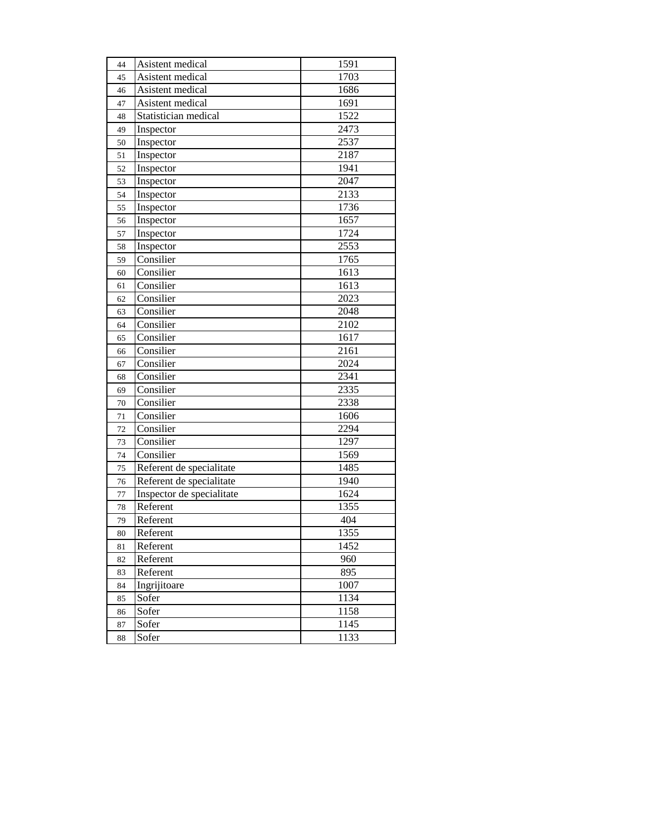| 44      | Asistent medical          | 1591 |
|---------|---------------------------|------|
| 45      | Asistent medical          | 1703 |
| 46      | Asistent medical          | 1686 |
| 47      | Asistent medical          | 1691 |
| 48      | Statistician medical      | 1522 |
| 49      | Inspector                 | 2473 |
| 50      | Inspector                 | 2537 |
| 51      | Inspector                 | 2187 |
| 52      | Inspector                 | 1941 |
| 53      | Inspector                 | 2047 |
| 54      | Inspector                 | 2133 |
| 55      | Inspector                 | 1736 |
| 56      | Inspector                 | 1657 |
| 57      | Inspector                 | 1724 |
| 58      | Inspector                 | 2553 |
| 59      | Consilier                 | 1765 |
| 60      | Consilier                 | 1613 |
| 61      | Consilier                 | 1613 |
| 62      | Consilier                 | 2023 |
| 63      | Consilier                 | 2048 |
| 64      | Consilier                 | 2102 |
| 65      | Consilier                 | 1617 |
| 66      | Consilier                 | 2161 |
| 67      | Consilier                 | 2024 |
| 68      | Consilier                 | 2341 |
| 69      | Consilier                 | 2335 |
| 70      | Consilier                 | 2338 |
| 71      | Consilier                 | 1606 |
| 72      | Consilier                 | 2294 |
| 73      | Consilier                 | 1297 |
| 74      | Consilier                 | 1569 |
| 75      | Referent de specialitate  | 1485 |
| 76      | Referent de specialitate  | 1940 |
| $77 \,$ | Inspector de specialitate | 1624 |
| 78      | Referent                  | 1355 |
| 79      | Referent                  | 404  |
| 80      | Referent                  | 1355 |
| 81      | Referent                  | 1452 |
| 82      | Referent                  | 960  |
| 83      | Referent                  | 895  |
| 84      | Ingrijitoare              | 1007 |
| 85      | Sofer                     | 1134 |
| 86      | Sofer                     | 1158 |
| 87      | Sofer                     | 1145 |
| 88      | Sofer                     | 1133 |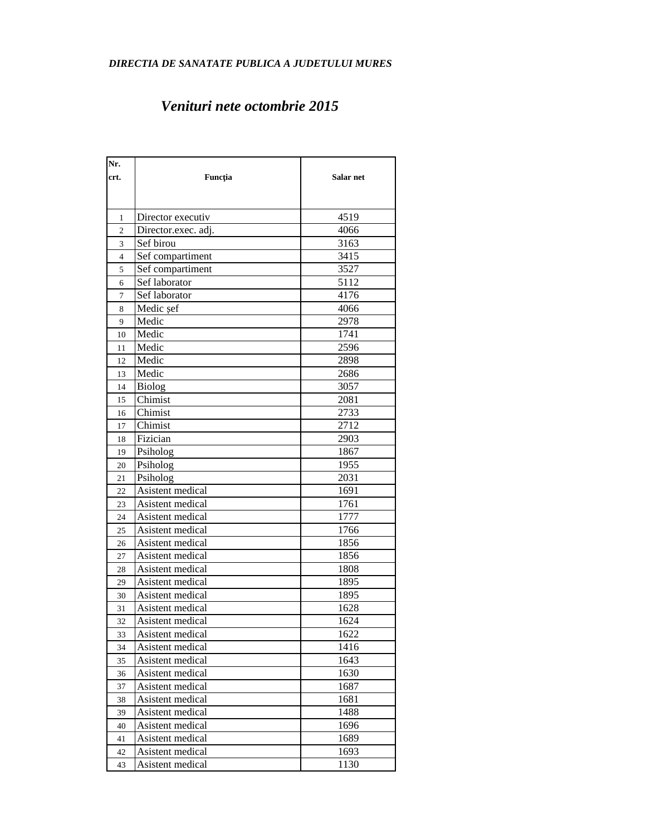## *Venituri nete octombrie 2015*

| Nr.<br>crt.    | Func ia             | Salar net |
|----------------|---------------------|-----------|
|                |                     |           |
| 1              | Director executiv   | 4519      |
| $\overline{c}$ | Director.exec. adj. | 4066      |
| 3              | Sef birou           | 3163      |
| $\overline{4}$ | Sef compartiment    | 3415      |
| 5              | Sef compartiment    | 3527      |
| 6              | Sef laborator       | 5112      |
| 7              | Sef laborator       | 4176      |
| 8              | Medic ef            | 4066      |
| 9              | Medic               | 2978      |
| 10             | Medic               | 1741      |
| 11             | Medic               | 2596      |
| 12             | Medic               | 2898      |
| 13             | Medic               | 2686      |
| 14             | <b>Biolog</b>       | 3057      |
| 15             | Chimist             | 2081      |
| 16             | Chimist             | 2733      |
| 17             | Chimist             | 2712      |
| 18             | Fizician            | 2903      |
| 19             | Psiholog            | 1867      |
| 20             | Psiholog            | 1955      |
| 21             | Psiholog            | 2031      |
| 22             | Asistent medical    | 1691      |
| 23             | Asistent medical    | 1761      |
| 24             | Asistent medical    | 1777      |
| 25             | Asistent medical    | 1766      |
| 26             | Asistent medical    | 1856      |
| 27             | Asistent medical    | 1856      |
| 28             | Asistent medical    | 1808      |
| 29             | Asistent medical    | 1895      |
| 30             | Asistent medical    | 1895      |
| 31             | Asistent medical    | 1628      |
| 32             | Asistent medical    | 1624      |
| 33             | Asistent medical    | 1622      |
| 34             | Asistent medical    | 1416      |
| 35             | Asistent medical    | 1643      |
| 36             | Asistent medical    | 1630      |
| 37             | Asistent medical    | 1687      |
| 38             | Asistent medical    | 1681      |
| 39             | Asistent medical    | 1488      |
| 40             | Asistent medical    | 1696      |
| 41             | Asistent medical    | 1689      |
| 42             | Asistent medical    | 1693      |
| 43             | Asistent medical    | 1130      |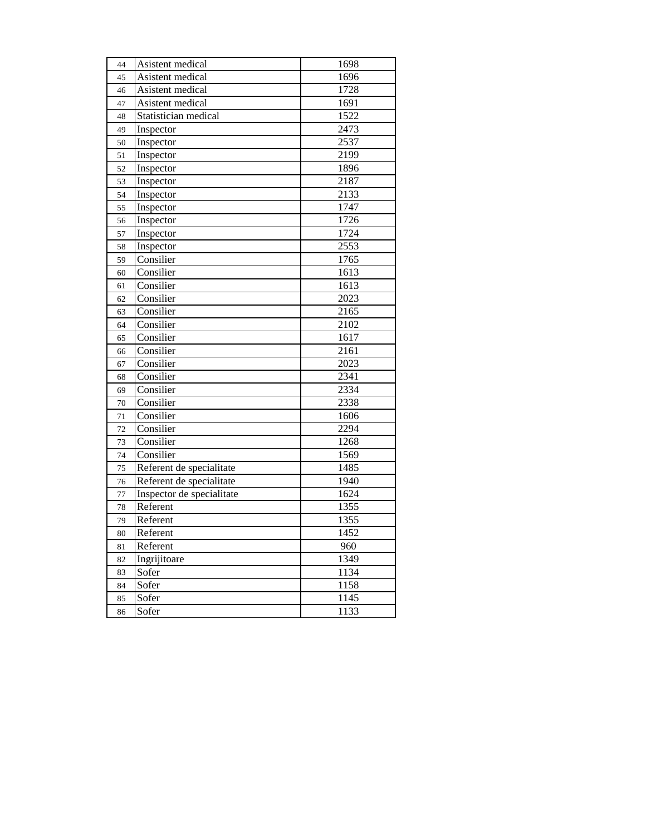| 44 | Asistent medical          | 1698 |
|----|---------------------------|------|
| 45 | Asistent medical          | 1696 |
| 46 | Asistent medical          | 1728 |
| 47 | Asistent medical          | 1691 |
| 48 | Statistician medical      | 1522 |
| 49 | Inspector                 | 2473 |
| 50 | Inspector                 | 2537 |
| 51 | Inspector                 | 2199 |
| 52 | Inspector                 | 1896 |
| 53 | Inspector                 | 2187 |
| 54 | Inspector                 | 2133 |
| 55 | Inspector                 | 1747 |
| 56 | Inspector                 | 1726 |
| 57 | Inspector                 | 1724 |
| 58 | Inspector                 | 2553 |
| 59 | Consilier                 | 1765 |
| 60 | Consilier                 | 1613 |
| 61 | Consilier                 | 1613 |
| 62 | Consilier                 | 2023 |
| 63 | Consilier                 | 2165 |
| 64 | Consilier                 | 2102 |
| 65 | Consilier                 | 1617 |
| 66 | Consilier                 | 2161 |
| 67 | Consilier                 | 2023 |
| 68 | Consilier                 | 2341 |
| 69 | Consilier                 | 2334 |
| 70 | Consilier                 | 2338 |
| 71 | Consilier                 | 1606 |
| 72 | Consilier                 | 2294 |
| 73 | Consilier                 | 1268 |
| 74 | Consilier                 | 1569 |
| 75 | Referent de specialitate  | 1485 |
| 76 | Referent de specialitate  | 1940 |
| 77 | Inspector de specialitate | 1624 |
| 78 | Referent                  | 1355 |
| 79 | Referent                  | 1355 |
| 80 | Referent                  | 1452 |
| 81 | Referent                  | 960  |
| 82 | Ingrijitoare              | 1349 |
| 83 | Sofer                     | 1134 |
| 84 | Sofer                     | 1158 |
| 85 | Sofer                     | 1145 |
| 86 | Sofer                     | 1133 |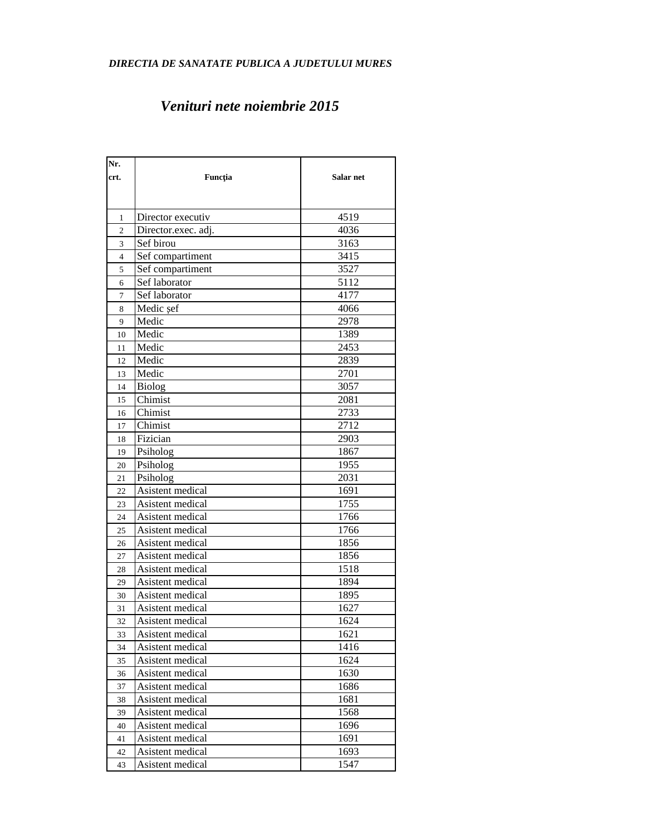## *Venituri nete noiembrie 2015*

| Nr.            |                     |           |
|----------------|---------------------|-----------|
| crt.           | Func ia             | Salar net |
|                |                     |           |
|                |                     |           |
| 1              | Director executiv   | 4519      |
| $\mathfrak{2}$ | Director.exec. adj. | 4036      |
| 3              | Sef birou           | 3163      |
| $\overline{4}$ | Sef compartiment    | 3415      |
| 5              | Sef compartiment    | 3527      |
| 6              | Sef laborator       | 5112      |
| 7              | Sef laborator       | 4177      |
| 8              | Medic ef            | 4066      |
| 9              | Medic               | 2978      |
| 10             | Medic               | 1389      |
| 11             | Medic               | 2453      |
| 12             | Medic               | 2839      |
| 13             | Medic               | 2701      |
| 14             | <b>Biolog</b>       | 3057      |
| 15             | Chimist             | 2081      |
| 16             | Chimist             | 2733      |
| 17             | Chimist             | 2712      |
| 18             | Fizician            | 2903      |
| 19             | Psiholog            | 1867      |
| 20             | Psiholog            | 1955      |
| 21             | Psiholog            | 2031      |
| 22             | Asistent medical    | 1691      |
| 23             | Asistent medical    | 1755      |
| 24             | Asistent medical    | 1766      |
| 25             | Asistent medical    | 1766      |
| 26             | Asistent medical    | 1856      |
| 27             | Asistent medical    | 1856      |
| 28             | Asistent medical    | 1518      |
| 29             | Asistent medical    | 1894      |
| 30             | Asistent medical    | 1895      |
| 31             | Asistent medical    | 1627      |
| 32             | Asistent medical    | 1624      |
| 33             | Asistent medical    | 1621      |
| 34             | Asistent medical    | 1416      |
| 35             | Asistent medical    | 1624      |
| 36             | Asistent medical    | 1630      |
| 37             | Asistent medical    | 1686      |
| 38             | Asistent medical    | 1681      |
| 39             | Asistent medical    | 1568      |
| 40             | Asistent medical    | 1696      |
| 41             | Asistent medical    | 1691      |
| 42             | Asistent medical    | 1693      |
| 43             | Asistent medical    | 1547      |